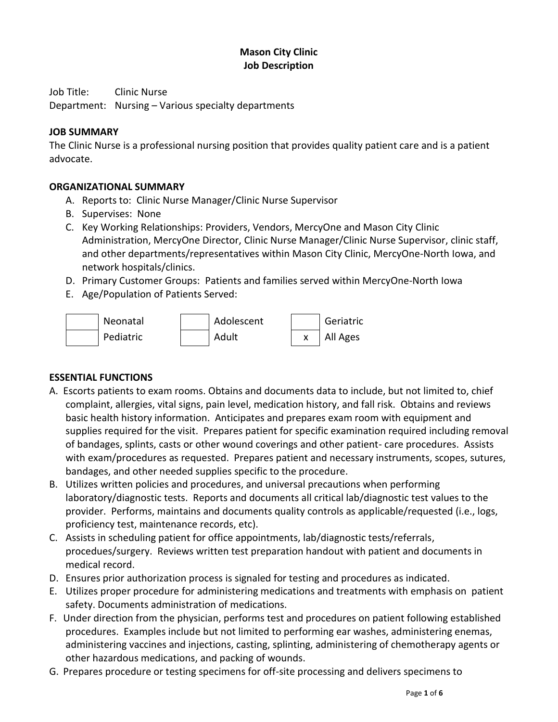# **Mason City Clinic Job Description**

Job Title: Clinic Nurse

Department: Nursing – Various specialty departments

#### **JOB SUMMARY**

The Clinic Nurse is a professional nursing position that provides quality patient care and is a patient advocate.

#### **ORGANIZATIONAL SUMMARY**

- A. Reports to: Clinic Nurse Manager/Clinic Nurse Supervisor
- B. Supervises: None
- C. Key Working Relationships: Providers, Vendors, MercyOne and Mason City Clinic Administration, MercyOne Director, Clinic Nurse Manager/Clinic Nurse Supervisor, clinic staff, and other departments/representatives within Mason City Clinic, MercyOne-North Iowa, and network hospitals/clinics.
- D. Primary Customer Groups: Patients and families served within MercyOne-North Iowa
- E. Age/Population of Patients Served:



#### **ESSENTIAL FUNCTIONS**

- A. Escorts patients to exam rooms. Obtains and documents data to include, but not limited to, chief complaint, allergies, vital signs, pain level, medication history, and fall risk. Obtains and reviews basic health history information. Anticipates and prepares exam room with equipment and supplies required for the visit. Prepares patient for specific examination required including removal of bandages, splints, casts or other wound coverings and other patient- care procedures. Assists with exam/procedures as requested. Prepares patient and necessary instruments, scopes, sutures, bandages, and other needed supplies specific to the procedure.
- B. Utilizes written policies and procedures, and universal precautions when performing laboratory/diagnostic tests. Reports and documents all critical lab/diagnostic test values to the provider. Performs, maintains and documents quality controls as applicable/requested (i.e., logs, proficiency test, maintenance records, etc).
- C. Assists in scheduling patient for office appointments, lab/diagnostic tests/referrals, procedues/surgery. Reviews written test preparation handout with patient and documents in medical record.
- D. Ensures prior authorization process is signaled for testing and procedures as indicated.
- E. Utilizes proper procedure for administering medications and treatments with emphasis on patient safety. Documents administration of medications.
- F. Under direction from the physician, performs test and procedures on patient following established procedures. Examples include but not limited to performing ear washes, administering enemas, administering vaccines and injections, casting, splinting, administering of chemotherapy agents or other hazardous medications, and packing of wounds.
- G. Prepares procedure or testing specimens for off-site processing and delivers specimens to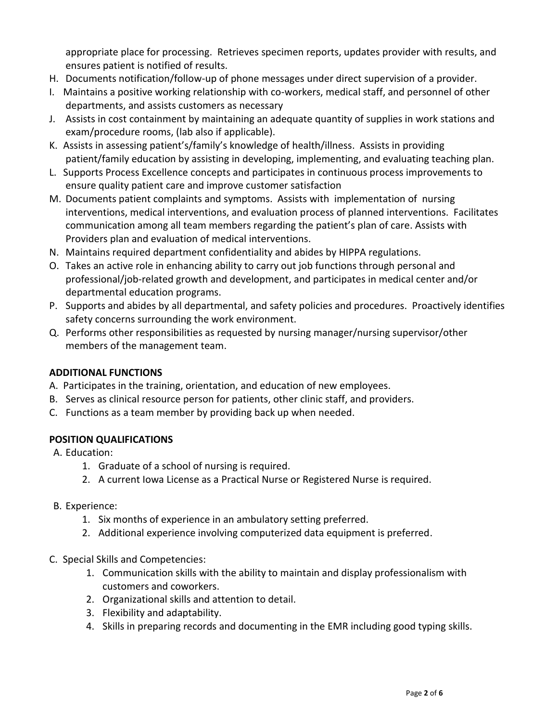appropriate place for processing. Retrieves specimen reports, updates provider with results, and ensures patient is notified of results.

- H. Documents notification/follow-up of phone messages under direct supervision of a provider.
- I. Maintains a positive working relationship with co-workers, medical staff, and personnel of other departments, and assists customers as necessary
- J. Assists in cost containment by maintaining an adequate quantity of supplies in work stations and exam/procedure rooms, (lab also if applicable).
- K. Assists in assessing patient's/family's knowledge of health/illness. Assists in providing patient/family education by assisting in developing, implementing, and evaluating teaching plan.
- L. Supports Process Excellence concepts and participates in continuous process improvements to ensure quality patient care and improve customer satisfaction
- M. Documents patient complaints and symptoms. Assists with implementation of nursing interventions, medical interventions, and evaluation process of planned interventions. Facilitates communication among all team members regarding the patient's plan of care. Assists with Providers plan and evaluation of medical interventions.
- N. Maintains required department confidentiality and abides by HIPPA regulations.
- O. Takes an active role in enhancing ability to carry out job functions through personal and professional/job-related growth and development, and participates in medical center and/or departmental education programs.
- P. Supports and abides by all departmental, and safety policies and procedures. Proactively identifies safety concerns surrounding the work environment.
- Q. Performs other responsibilities as requested by nursing manager/nursing supervisor/other members of the management team.

## **ADDITIONAL FUNCTIONS**

- A. Participates in the training, orientation, and education of new employees.
- B. Serves as clinical resource person for patients, other clinic staff, and providers.
- C. Functions as a team member by providing back up when needed.

#### **POSITION QUALIFICATIONS**

A. Education:

- 1. Graduate of a school of nursing is required.
- 2. A current Iowa License as a Practical Nurse or Registered Nurse is required.
- B. Experience:
	- 1. Six months of experience in an ambulatory setting preferred.
	- 2. Additional experience involving computerized data equipment is preferred.
- C. Special Skills and Competencies:
	- 1. Communication skills with the ability to maintain and display professionalism with customers and coworkers.
	- 2. Organizational skills and attention to detail.
	- 3. Flexibility and adaptability.
	- 4. Skills in preparing records and documenting in the EMR including good typing skills.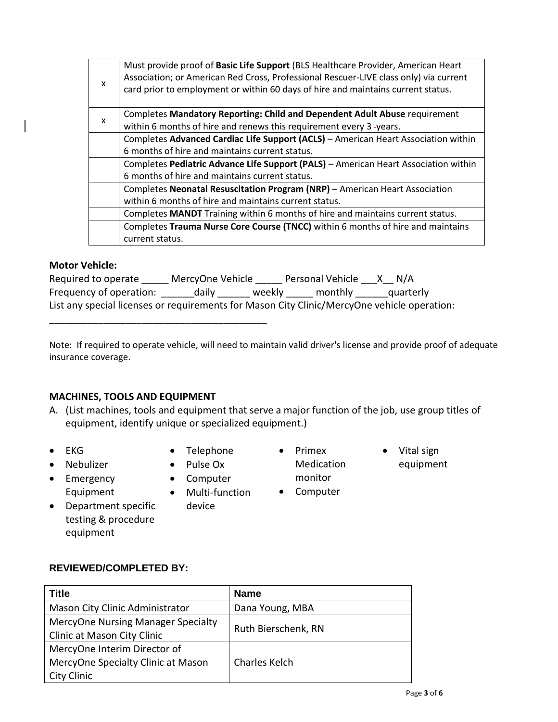| <b>Completes Mandatory Reporting: Child and Dependent Adult Abuse requirement</b><br>X<br>within 6 months of hire and renews this requirement every 3 -years.<br>Completes Advanced Cardiac Life Support (ACLS) - American Heart Association within<br>6 months of hire and maintains current status.<br>Completes Pediatric Advance Life Support (PALS) - American Heart Association within<br>6 months of hire and maintains current status.<br>Completes Neonatal Resuscitation Program (NRP) - American Heart Association<br>within 6 months of hire and maintains current status.<br>Completes MANDT Training within 6 months of hire and maintains current status.<br>Completes Trauma Nurse Core Course (TNCC) within 6 months of hire and maintains<br>current status. | $\mathsf{x}$ | Must provide proof of Basic Life Support (BLS Healthcare Provider, American Heart<br>Association; or American Red Cross, Professional Rescuer-LIVE class only) via current<br>card prior to employment or within 60 days of hire and maintains current status. |
|--------------------------------------------------------------------------------------------------------------------------------------------------------------------------------------------------------------------------------------------------------------------------------------------------------------------------------------------------------------------------------------------------------------------------------------------------------------------------------------------------------------------------------------------------------------------------------------------------------------------------------------------------------------------------------------------------------------------------------------------------------------------------------|--------------|----------------------------------------------------------------------------------------------------------------------------------------------------------------------------------------------------------------------------------------------------------------|
|                                                                                                                                                                                                                                                                                                                                                                                                                                                                                                                                                                                                                                                                                                                                                                                |              |                                                                                                                                                                                                                                                                |
|                                                                                                                                                                                                                                                                                                                                                                                                                                                                                                                                                                                                                                                                                                                                                                                |              |                                                                                                                                                                                                                                                                |
|                                                                                                                                                                                                                                                                                                                                                                                                                                                                                                                                                                                                                                                                                                                                                                                |              |                                                                                                                                                                                                                                                                |
|                                                                                                                                                                                                                                                                                                                                                                                                                                                                                                                                                                                                                                                                                                                                                                                |              |                                                                                                                                                                                                                                                                |
|                                                                                                                                                                                                                                                                                                                                                                                                                                                                                                                                                                                                                                                                                                                                                                                |              |                                                                                                                                                                                                                                                                |
|                                                                                                                                                                                                                                                                                                                                                                                                                                                                                                                                                                                                                                                                                                                                                                                |              |                                                                                                                                                                                                                                                                |
|                                                                                                                                                                                                                                                                                                                                                                                                                                                                                                                                                                                                                                                                                                                                                                                |              |                                                                                                                                                                                                                                                                |
|                                                                                                                                                                                                                                                                                                                                                                                                                                                                                                                                                                                                                                                                                                                                                                                |              |                                                                                                                                                                                                                                                                |
|                                                                                                                                                                                                                                                                                                                                                                                                                                                                                                                                                                                                                                                                                                                                                                                |              |                                                                                                                                                                                                                                                                |
|                                                                                                                                                                                                                                                                                                                                                                                                                                                                                                                                                                                                                                                                                                                                                                                |              |                                                                                                                                                                                                                                                                |
|                                                                                                                                                                                                                                                                                                                                                                                                                                                                                                                                                                                                                                                                                                                                                                                |              |                                                                                                                                                                                                                                                                |

### **Motor Vehicle:**

| Required to operate                                                                         | MercyOne Vehicle |        | Personal Vehicle | X N/A     |
|---------------------------------------------------------------------------------------------|------------------|--------|------------------|-----------|
| Frequency of operation:                                                                     | daily            | weekly | monthly          | quarterly |
| List any special licenses or requirements for Mason City Clinic/MercyOne vehicle operation: |                  |        |                  |           |

Note: If required to operate vehicle, will need to maintain valid driver's license and provide proof of adequate insurance coverage.

## **MACHINES, TOOLS AND EQUIPMENT**

- A. (List machines, tools and equipment that serve a major function of the job, use group titles of equipment, identify unique or specialized equipment.)
- EKG
- Nebulizer • Emergency

Equipment

• Pulse Ox

• Telephone

• Computer

\_\_\_\_\_\_\_\_\_\_\_\_\_\_\_\_\_\_\_\_\_\_\_\_\_\_\_\_\_\_\_\_\_\_\_\_\_\_\_\_

- Multi-function device
- Primex Medication monitor

• Computer

• Vital sign equipment

• Department specific testing & procedure equipment

## **REVIEWED/COMPLETED BY:**

| Title                                     | <b>Name</b>          |  |  |  |
|-------------------------------------------|----------------------|--|--|--|
| Mason City Clinic Administrator           | Dana Young, MBA      |  |  |  |
| <b>MercyOne Nursing Manager Specialty</b> |                      |  |  |  |
| Clinic at Mason City Clinic               | Ruth Bierschenk, RN  |  |  |  |
| MercyOne Interim Director of              |                      |  |  |  |
| MercyOne Specialty Clinic at Mason        | <b>Charles Kelch</b> |  |  |  |
| City Clinic                               |                      |  |  |  |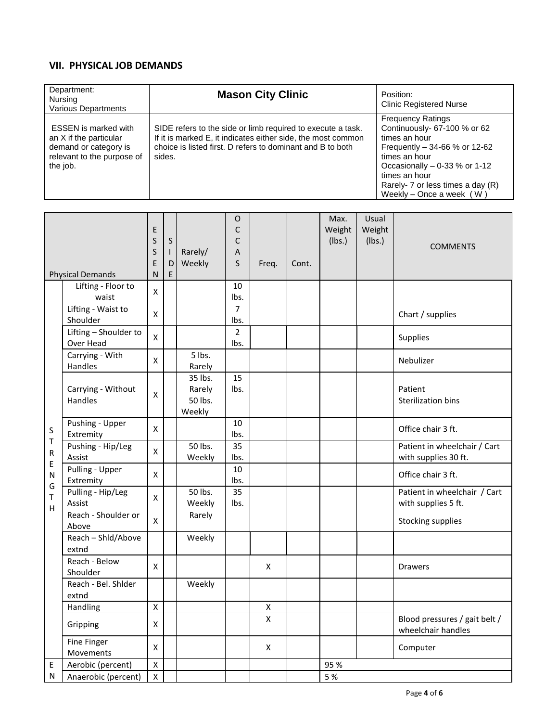#### **VII. PHYSICAL JOB DEMANDS**

| Department:<br>Nursing<br>Various Departments                                                                            | <b>Mason City Clinic</b>                                                                                                                                                                            | Position:<br><b>Clinic Registered Nurse</b>                                                                                                                                                                                                        |
|--------------------------------------------------------------------------------------------------------------------------|-----------------------------------------------------------------------------------------------------------------------------------------------------------------------------------------------------|----------------------------------------------------------------------------------------------------------------------------------------------------------------------------------------------------------------------------------------------------|
| <b>ESSEN</b> is marked with<br>an X if the particular<br>demand or category is<br>relevant to the purpose of<br>the job. | SIDE refers to the side or limb required to execute a task.<br>If it is marked E, it indicates either side, the most common<br>choice is listed first. D refers to dominant and B to both<br>sides. | <b>Frequency Ratings</b><br>Continuously- 67-100 % or 62<br>times an hour<br>Frequently $-34-66$ % or 12-62<br>times an hour<br>Occasionally $-0.33$ % or 1-12<br>times an hour<br>Rarely- 7 or less times a day (R)<br>Weekly – Once a week $(W)$ |

| <b>Physical Demands</b>     |                                    | E<br>S<br>S<br>E<br>N   | S<br>L<br>D<br>E | Rarely/<br>Weekly                      | $\mathsf{O}$<br>$\mathsf{C}$<br>$\mathsf{C}$<br>Α<br>S | Freq.              | Cont. | Max.<br>Weight<br>(lbs.) | Usual<br>Weight<br>(lbs.) | <b>COMMENTS</b>                                      |
|-----------------------------|------------------------------------|-------------------------|------------------|----------------------------------------|--------------------------------------------------------|--------------------|-------|--------------------------|---------------------------|------------------------------------------------------|
|                             | Lifting - Floor to<br>waist        | X                       |                  |                                        | 10<br>Ibs.                                             |                    |       |                          |                           |                                                      |
|                             | Lifting - Waist to<br>Shoulder     | X                       |                  |                                        | $\overline{7}$<br>lbs.                                 |                    |       |                          |                           | Chart / supplies                                     |
|                             | Lifting - Shoulder to<br>Over Head | $\overline{\mathsf{x}}$ |                  |                                        | 2<br>Ibs.                                              |                    |       |                          |                           | Supplies                                             |
|                             | Carrying - With<br>Handles         | X                       |                  | $5$ lbs.<br>Rarely                     |                                                        |                    |       |                          |                           | Nebulizer                                            |
|                             | Carrying - Without<br>Handles      | X                       |                  | 35 lbs.<br>Rarely<br>50 lbs.<br>Weekly | 15<br>Ibs.                                             |                    |       |                          |                           | Patient<br><b>Sterilization bins</b>                 |
| S                           | Pushing - Upper<br>Extremity       | X                       |                  |                                        | 10<br>Ibs.                                             |                    |       |                          |                           | Office chair 3 ft.                                   |
| T<br>${\sf R}$              | Pushing - Hip/Leg<br>Assist        | X                       |                  | 50 lbs.<br>Weekly                      | 35<br>Ibs.                                             |                    |       |                          |                           | Patient in wheelchair / Cart<br>with supplies 30 ft. |
| $\mathsf E$<br>$\mathsf{N}$ | Pulling - Upper<br>Extremity       | $\mathsf{X}$            |                  |                                        | 10<br>Ibs.                                             |                    |       |                          |                           | Office chair 3 ft.                                   |
| G<br>T<br>$\overline{H}$    | Pulling - Hip/Leg<br>Assist        | X                       |                  | 50 lbs.<br>Weekly                      | 35<br>lbs.                                             |                    |       |                          |                           | Patient in wheelchair / Cart<br>with supplies 5 ft.  |
|                             | Reach - Shoulder or<br>Above       | X                       |                  | Rarely                                 |                                                        |                    |       |                          |                           | <b>Stocking supplies</b>                             |
|                             | Reach - Shld/Above<br>extnd        |                         |                  | Weekly                                 |                                                        |                    |       |                          |                           |                                                      |
|                             | Reach - Below<br>Shoulder          | X                       |                  |                                        |                                                        | X                  |       |                          |                           | <b>Drawers</b>                                       |
|                             | Reach - Bel. Shlder<br>extnd       |                         |                  | Weekly                                 |                                                        |                    |       |                          |                           |                                                      |
|                             | Handling                           | $\pmb{\mathsf{X}}$      |                  |                                        |                                                        | $\pmb{\mathsf{X}}$ |       |                          |                           |                                                      |
|                             | Gripping                           | X                       |                  |                                        |                                                        | X                  |       |                          |                           | Blood pressures / gait belt /<br>wheelchair handles  |
|                             | Fine Finger<br>Movements           | X                       |                  |                                        |                                                        | X                  |       |                          |                           | Computer                                             |
| Е                           | Aerobic (percent)                  | $\pmb{\times}$          |                  |                                        |                                                        |                    |       | 95 %                     |                           |                                                      |
| N                           | Anaerobic (percent)                | $\pmb{\mathsf{X}}$      |                  |                                        |                                                        |                    |       | 5 %                      |                           |                                                      |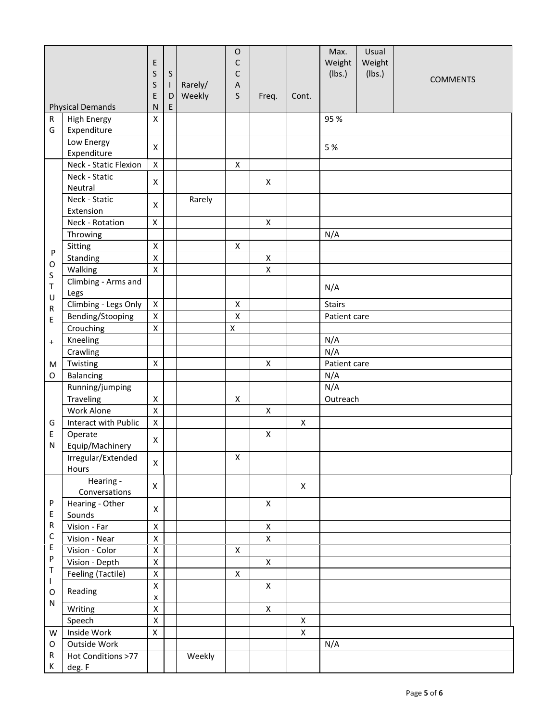|                         |                              | Ε<br>S                  | $\sf S$               |                   | $\mathsf O$<br>С<br>C |                    |                    | Max.<br>Weight<br>(lbs.) | Usual<br>Weight<br>(lbs.) | <b>COMMENTS</b> |
|-------------------------|------------------------------|-------------------------|-----------------------|-------------------|-----------------------|--------------------|--------------------|--------------------------|---------------------------|-----------------|
| <b>Physical Demands</b> |                              | $\sf S$<br>E<br>N       | $\mathsf I$<br>D<br>E | Rarely/<br>Weekly | A<br>S                | Freq.              | Cont.              |                          |                           |                 |
| R                       | <b>High Energy</b>           | X                       |                       |                   |                       |                    |                    | 95%                      |                           |                 |
| G                       | Expenditure                  |                         |                       |                   |                       |                    |                    |                          |                           |                 |
|                         | Low Energy                   |                         |                       |                   |                       |                    |                    |                          |                           |                 |
|                         | Expenditure                  | X                       |                       |                   |                       |                    |                    | 5 %                      |                           |                 |
|                         | <b>Neck - Static Flexion</b> | $\mathsf X$             |                       |                   | X                     |                    |                    |                          |                           |                 |
|                         | Neck - Static                | $\pmb{\times}$          |                       |                   |                       | X                  |                    |                          |                           |                 |
|                         | Neutral                      |                         |                       |                   |                       |                    |                    |                          |                           |                 |
|                         | Neck - Static                | X                       |                       | Rarely            |                       |                    |                    |                          |                           |                 |
|                         | Extension                    |                         |                       |                   |                       |                    |                    |                          |                           |                 |
|                         | Neck - Rotation              | $\pmb{\times}$          |                       |                   |                       | $\pmb{\mathsf{X}}$ |                    |                          |                           |                 |
|                         | Throwing                     |                         |                       |                   |                       |                    |                    | N/A                      |                           |                 |
| P                       | Sitting                      | $\pmb{\times}$          |                       |                   | Χ                     |                    |                    |                          |                           |                 |
| O                       | Standing                     | $\pmb{\mathsf{X}}$      |                       |                   |                       | $\pmb{\mathsf{X}}$ |                    |                          |                           |                 |
| S                       | Walking                      | $\pmb{\mathsf{X}}$      |                       |                   |                       | $\pmb{\times}$     |                    |                          |                           |                 |
| T                       | Climbing - Arms and          |                         |                       |                   |                       |                    |                    | N/A                      |                           |                 |
| U                       | Legs                         |                         |                       |                   |                       |                    |                    |                          |                           |                 |
| R                       | Climbing - Legs Only         | $\mathsf X$             |                       |                   | Χ                     |                    |                    | <b>Stairs</b>            |                           |                 |
| E                       | Bending/Stooping             | X<br>$\pmb{\times}$     |                       |                   | X                     |                    |                    | Patient care             |                           |                 |
|                         | Crouching                    |                         |                       |                   | X                     |                    |                    | N/A                      |                           |                 |
| $\pmb{+}$               | Kneeling<br>Crawling         |                         |                       |                   |                       |                    |                    | N/A                      |                           |                 |
|                         | Twisting                     | X                       |                       |                   |                       | X                  |                    | Patient care             |                           |                 |
| M<br>0                  | Balancing                    |                         |                       |                   |                       |                    |                    | N/A                      |                           |                 |
|                         | Running/jumping              |                         |                       |                   |                       |                    |                    | N/A                      |                           |                 |
|                         | Traveling                    | $\pmb{\times}$          |                       |                   | X                     |                    |                    | Outreach                 |                           |                 |
|                         | Work Alone                   | $\mathsf X$             |                       |                   |                       | X                  |                    |                          |                           |                 |
| G                       | Interact with Public         | $\overline{\mathsf{x}}$ |                       |                   |                       |                    | $\pmb{\mathsf{X}}$ |                          |                           |                 |
| Ε                       | Operate                      |                         |                       |                   |                       | $\mathsf{X}$       |                    |                          |                           |                 |
| Ν                       | Equip/Machinery              | X                       |                       |                   |                       |                    |                    |                          |                           |                 |
|                         | Irregular/Extended           |                         |                       |                   | Χ                     |                    |                    |                          |                           |                 |
|                         | Hours                        | $\pmb{\times}$          |                       |                   |                       |                    |                    |                          |                           |                 |
|                         | Hearing -<br>Conversations   | X                       |                       |                   |                       |                    | $\mathsf{X}$       |                          |                           |                 |
| P                       | Hearing - Other              |                         |                       |                   |                       | X                  |                    |                          |                           |                 |
| Ε                       | Sounds                       | X                       |                       |                   |                       |                    |                    |                          |                           |                 |
| R                       | Vision - Far                 | X                       |                       |                   |                       | $\pmb{\mathsf{X}}$ |                    |                          |                           |                 |
| С                       | Vision - Near                | Χ                       |                       |                   |                       | X                  |                    |                          |                           |                 |
| Ε                       | Vision - Color               | $\pmb{\mathsf{X}}$      |                       |                   | X                     |                    |                    |                          |                           |                 |
| P                       | Vision - Depth               | X                       |                       |                   |                       | $\pmb{\mathsf{X}}$ |                    |                          |                           |                 |
| Т<br>T                  | Feeling (Tactile)            | Χ                       |                       |                   | X                     |                    |                    |                          |                           |                 |
| O<br>N                  | Reading                      | $\pmb{\mathsf{X}}$<br>X |                       |                   |                       | $\pmb{\mathsf{X}}$ |                    |                          |                           |                 |
|                         | Writing                      | $\pmb{\mathsf{X}}$      |                       |                   |                       | $\mathsf X$        |                    |                          |                           |                 |
|                         | Speech                       | $\pmb{\mathsf{X}}$      |                       |                   |                       |                    | X                  |                          |                           |                 |
| W                       | Inside Work                  | $\pmb{\mathsf{X}}$      |                       |                   |                       |                    | $\mathsf X$        |                          |                           |                 |
| O                       | Outside Work                 |                         |                       |                   |                       |                    |                    | N/A                      |                           |                 |
| R                       | Hot Conditions >77           |                         |                       | Weekly            |                       |                    |                    |                          |                           |                 |
| Κ                       | deg. F                       |                         |                       |                   |                       |                    |                    |                          |                           |                 |